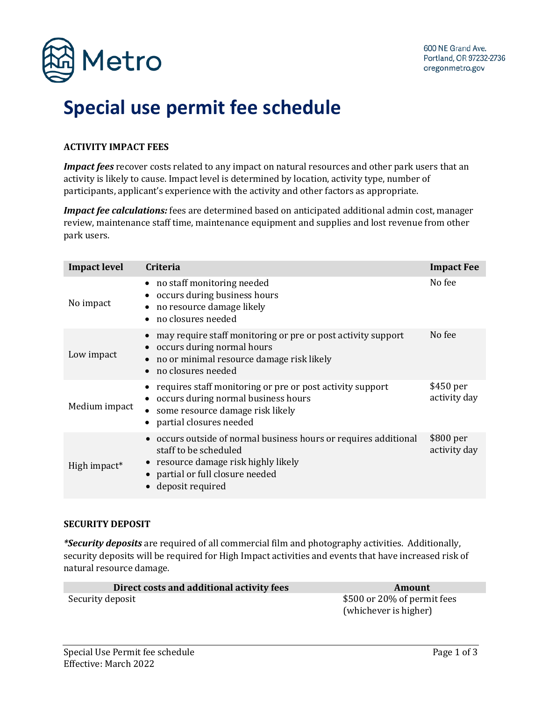

# **Special use permit fee schedule**

### **ACTIVITY IMPACT FEES**

*Impact fees* recover costs related to any impact on natural resources and other park users that an activity is likely to cause. Impact level is determined by location, activity type, number of participants, applicant's experience with the activity and other factors as appropriate.

*Impact fee calculations:* fees are determined based on anticipated additional admin cost, manager review, maintenance staff time, maintenance equipment and supplies and lost revenue from other park users.

| <b>Impact level</b> | <b>Criteria</b>                                                                                                                                                                           | <b>Impact Fee</b>         |
|---------------------|-------------------------------------------------------------------------------------------------------------------------------------------------------------------------------------------|---------------------------|
| No impact           | no staff monitoring needed<br>$\bullet$<br>occurs during business hours<br>no resource damage likely<br>no closures needed                                                                | No fee                    |
| Low impact          | may require staff monitoring or pre or post activity support<br>occurs during normal hours<br>no or minimal resource damage risk likely<br>no closures needed                             | No fee                    |
| Medium impact       | requires staff monitoring or pre or post activity support<br>occurs during normal business hours<br>• some resource damage risk likely<br>partial closures needed                         | \$450 per<br>activity day |
| High impact*        | • occurs outside of normal business hours or requires additional<br>staff to be scheduled<br>• resource damage risk highly likely<br>• partial or full closure needed<br>deposit required | \$800 per<br>activity day |

#### **SECURITY DEPOSIT**

*\*Security deposits* are required of all commercial film and photography activities. Additionally, security deposits will be required for High Impact activities and events that have increased risk of natural resource damage.

| Direct costs and additional activity fees | Amount                                               |
|-------------------------------------------|------------------------------------------------------|
| Security deposit                          | \$500 or 20% of permit fees<br>(whichever is higher) |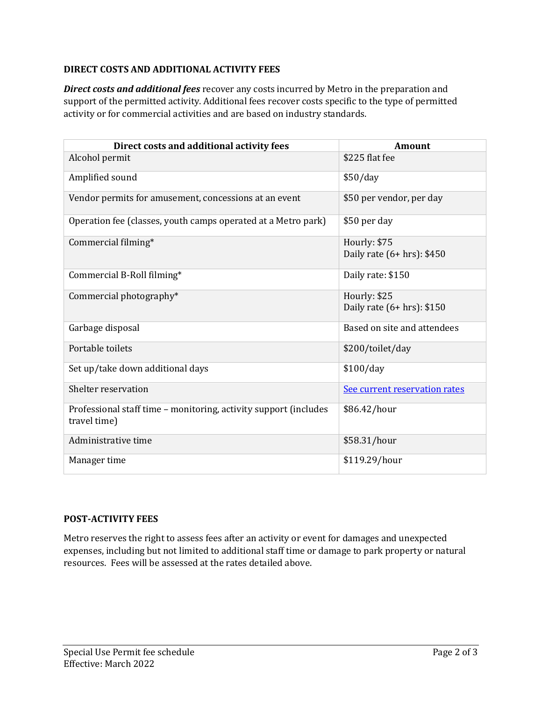# **DIRECT COSTS AND ADDITIONAL ACTIVITY FEES**

*Direct costs and additional fees* recover any costs incurred by Metro in the preparation and support of the permitted activity. Additional fees recover costs specific to the type of permitted activity or for commercial activities and are based on industry standards.

| Direct costs and additional activity fees                                        | <b>Amount</b>                                |
|----------------------------------------------------------------------------------|----------------------------------------------|
| Alcohol permit                                                                   | \$225 flat fee                               |
| Amplified sound                                                                  | \$50/day                                     |
| Vendor permits for amusement, concessions at an event                            | \$50 per vendor, per day                     |
| Operation fee (classes, youth camps operated at a Metro park)                    | \$50 per day                                 |
| Commercial filming*                                                              | Hourly: \$75<br>Daily rate (6+ hrs): \$450   |
| Commercial B-Roll filming*                                                       | Daily rate: \$150                            |
| Commercial photography*                                                          | Hourly: \$25<br>Daily rate $(6+hrs)$ : \$150 |
| Garbage disposal                                                                 | Based on site and attendees                  |
| Portable toilets                                                                 | \$200/toilet/day                             |
| Set up/take down additional days                                                 | \$100/day                                    |
| Shelter reservation                                                              | See current reservation rates                |
| Professional staff time - monitoring, activity support (includes<br>travel time) | \$86.42/hour                                 |
| Administrative time                                                              | \$58.31/hour                                 |
| Manager time                                                                     | \$119.29/hour                                |

## **POST-ACTIVITY FEES**

Metro reserves the right to assess fees after an activity or event for damages and unexpected expenses, including but not limited to additional staff time or damage to park property or natural resources. Fees will be assessed at the rates detailed above.